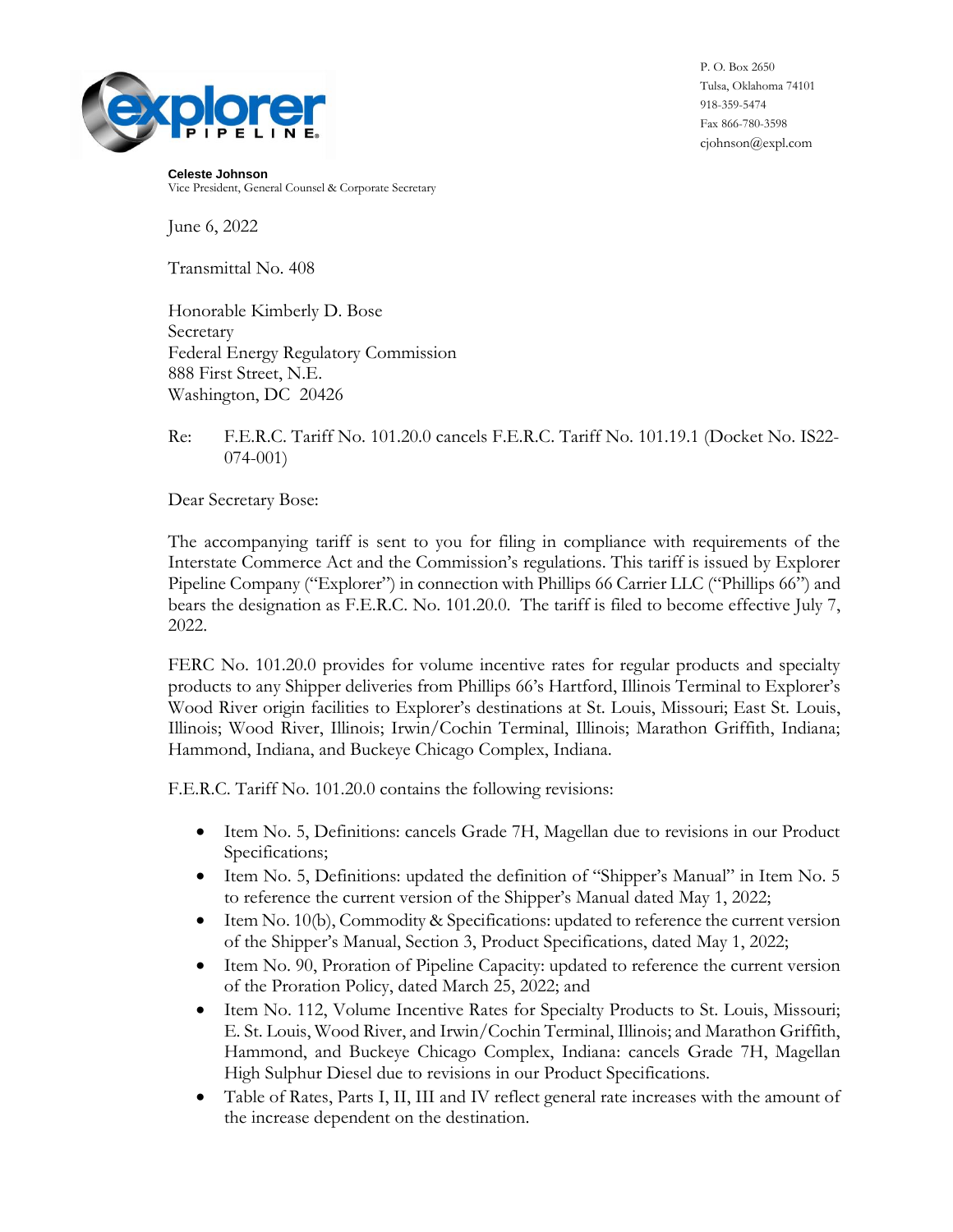

P. O. Box 2650 Tulsa, Oklahoma 74101 918-359-5474 Fax 866-780-3598 cjohnson@expl.com

**Celeste Johnson** Vice President, General Counsel & Corporate Secretary

June 6, 2022

Transmittal No. 408

Honorable Kimberly D. Bose Secretary Federal Energy Regulatory Commission 888 First Street, N.E. Washington, DC 20426

Re: F.E.R.C. Tariff No. 101.20.0 cancels F.E.R.C. Tariff No. 101.19.1 (Docket No. IS22- 074-001)

Dear Secretary Bose:

The accompanying tariff is sent to you for filing in compliance with requirements of the Interstate Commerce Act and the Commission's regulations. This tariff is issued by Explorer Pipeline Company ("Explorer") in connection with Phillips 66 Carrier LLC ("Phillips 66") and bears the designation as F.E.R.C. No. 101.20.0. The tariff is filed to become effective July 7, 2022.

FERC No. 101.20.0 provides for volume incentive rates for regular products and specialty products to any Shipper deliveries from Phillips 66's Hartford, Illinois Terminal to Explorer's Wood River origin facilities to Explorer's destinations at St. Louis, Missouri; East St. Louis, Illinois; Wood River, Illinois; Irwin/Cochin Terminal, Illinois; Marathon Griffith, Indiana; Hammond, Indiana, and Buckeye Chicago Complex, Indiana.

F.E.R.C. Tariff No. 101.20.0 contains the following revisions:

- Item No. 5, Definitions: cancels Grade 7H, Magellan due to revisions in our Product Specifications;
- Item No. 5, Definitions: updated the definition of "Shipper's Manual" in Item No. 5 to reference the current version of the Shipper's Manual dated May 1, 2022;
- Item No. 10(b), Commodity & Specifications: updated to reference the current version of the Shipper's Manual, Section 3, Product Specifications, dated May 1, 2022;
- Item No. 90, Proration of Pipeline Capacity: updated to reference the current version of the Proration Policy, dated March 25, 2022; and
- Item No. 112, Volume Incentive Rates for Specialty Products to St. Louis, Missouri; E. St. Louis, Wood River, and Irwin/Cochin Terminal, Illinois; and Marathon Griffith, Hammond, and Buckeye Chicago Complex, Indiana: cancels Grade 7H, Magellan High Sulphur Diesel due to revisions in our Product Specifications.
- Table of Rates, Parts I, II, III and IV reflect general rate increases with the amount of the increase dependent on the destination.